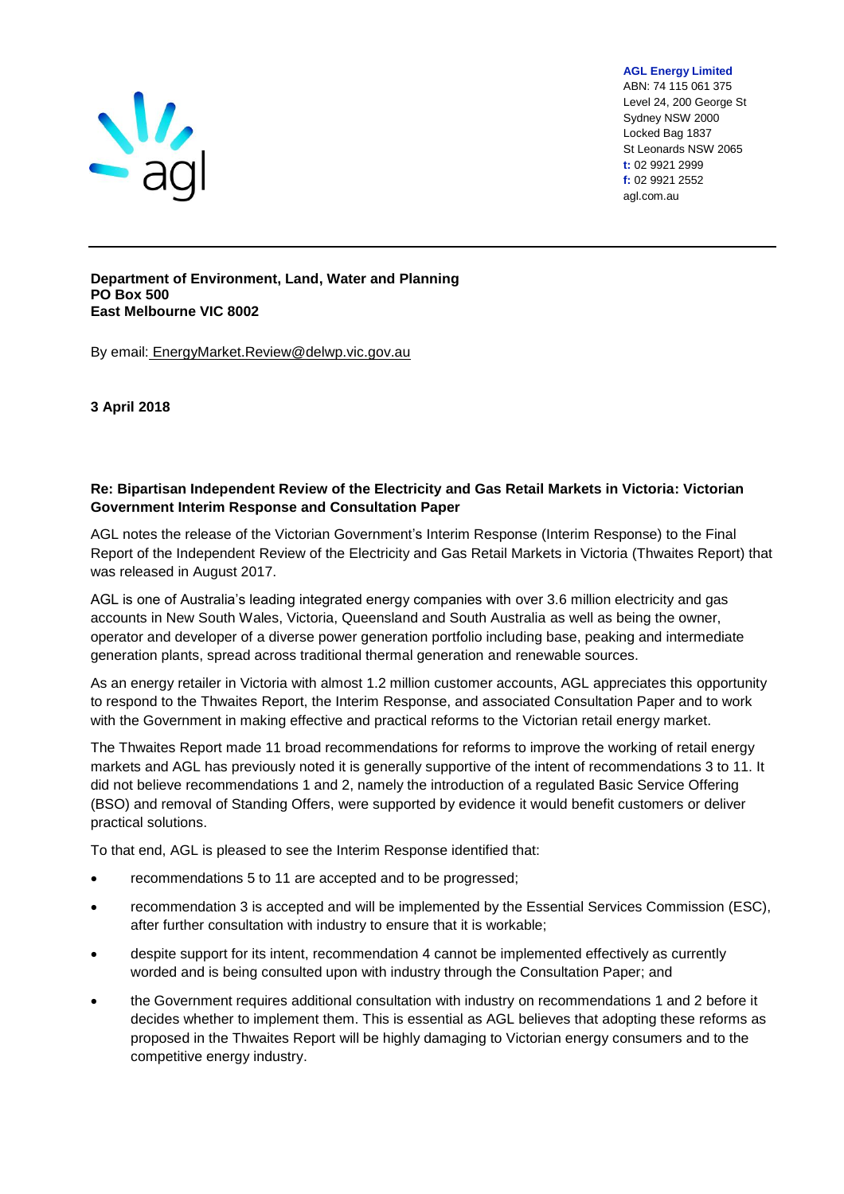

**AGL Energy Limited** ABN: 74 115 061 375 Level 24, 200 George St Sydney NSW 2000 Locked Bag 1837 St Leonards NSW 2065 **t:** 02 9921 2999 **f:** 02 9921 2552 agl.com.au

#### **Department of Environment, Land, Water and Planning PO Box 500 East Melbourne VIC 8002**

By email: [EnergyMarket.Review@delwp.vic.gov.au](mailto:EnergyMarket.Review@delwp.vic.gov.au)

**3 April 2018**

# **Re: Bipartisan Independent Review of the Electricity and Gas Retail Markets in Victoria: Victorian Government Interim Response and Consultation Paper**

AGL notes the release of the Victorian Government's Interim Response (Interim Response) to the Final Report of the Independent Review of the Electricity and Gas Retail Markets in Victoria (Thwaites Report) that was released in August 2017.

AGL is one of Australia's leading integrated energy companies with over 3.6 million electricity and gas accounts in New South Wales, Victoria, Queensland and South Australia as well as being the owner, operator and developer of a diverse power generation portfolio including base, peaking and intermediate generation plants, spread across traditional thermal generation and renewable sources.

As an energy retailer in Victoria with almost 1.2 million customer accounts, AGL appreciates this opportunity to respond to the Thwaites Report, the Interim Response, and associated Consultation Paper and to work with the Government in making effective and practical reforms to the Victorian retail energy market.

The Thwaites Report made 11 broad recommendations for reforms to improve the working of retail energy markets and AGL has previously noted it is generally supportive of the intent of recommendations 3 to 11. It did not believe recommendations 1 and 2, namely the introduction of a regulated Basic Service Offering (BSO) and removal of Standing Offers, were supported by evidence it would benefit customers or deliver practical solutions.

To that end, AGL is pleased to see the Interim Response identified that:

- recommendations 5 to 11 are accepted and to be progressed;
- recommendation 3 is accepted and will be implemented by the Essential Services Commission (ESC), after further consultation with industry to ensure that it is workable;
- despite support for its intent, recommendation 4 cannot be implemented effectively as currently worded and is being consulted upon with industry through the Consultation Paper; and
- the Government requires additional consultation with industry on recommendations 1 and 2 before it decides whether to implement them. This is essential as AGL believes that adopting these reforms as proposed in the Thwaites Report will be highly damaging to Victorian energy consumers and to the competitive energy industry.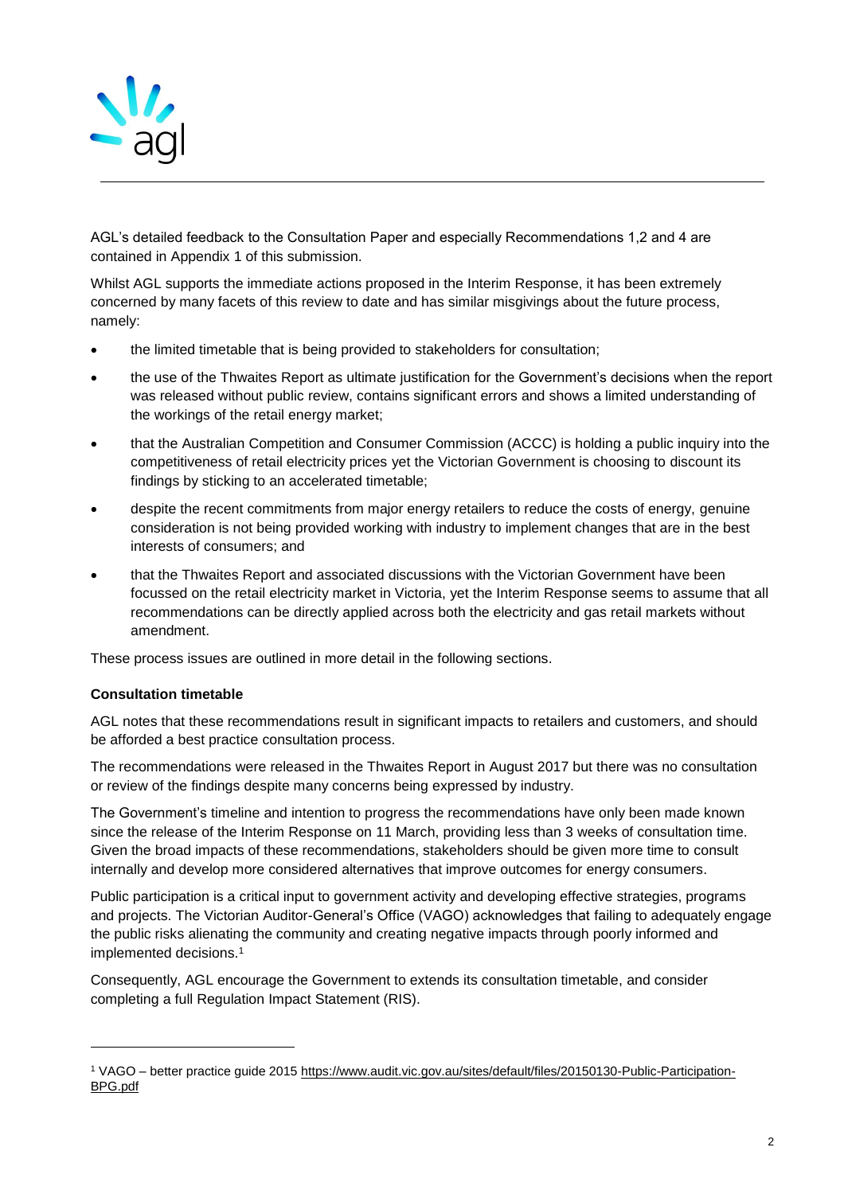

AGL's detailed feedback to the Consultation Paper and especially Recommendations 1,2 and 4 are contained in Appendix 1 of this submission.

Whilst AGL supports the immediate actions proposed in the Interim Response, it has been extremely concerned by many facets of this review to date and has similar misgivings about the future process, namely:

- the limited timetable that is being provided to stakeholders for consultation;
- the use of the Thwaites Report as ultimate justification for the Government's decisions when the report was released without public review, contains significant errors and shows a limited understanding of the workings of the retail energy market;
- that the Australian Competition and Consumer Commission (ACCC) is holding a public inquiry into the competitiveness of retail electricity prices yet the Victorian Government is choosing to discount its findings by sticking to an accelerated timetable;
- despite the recent commitments from major energy retailers to reduce the costs of energy, genuine consideration is not being provided working with industry to implement changes that are in the best interests of consumers; and
- that the Thwaites Report and associated discussions with the Victorian Government have been focussed on the retail electricity market in Victoria, yet the Interim Response seems to assume that all recommendations can be directly applied across both the electricity and gas retail markets without amendment.

These process issues are outlined in more detail in the following sections.

## **Consultation timetable**

l

AGL notes that these recommendations result in significant impacts to retailers and customers, and should be afforded a best practice consultation process.

The recommendations were released in the Thwaites Report in August 2017 but there was no consultation or review of the findings despite many concerns being expressed by industry.

The Government's timeline and intention to progress the recommendations have only been made known since the release of the Interim Response on 11 March, providing less than 3 weeks of consultation time. Given the broad impacts of these recommendations, stakeholders should be given more time to consult internally and develop more considered alternatives that improve outcomes for energy consumers.

Public participation is a critical input to government activity and developing effective strategies, programs and projects. The Victorian Auditor-General's Office (VAGO) acknowledges that failing to adequately engage the public risks alienating the community and creating negative impacts through poorly informed and implemented decisions.<sup>1</sup>

Consequently, AGL encourage the Government to extends its consultation timetable, and consider completing a full Regulation Impact Statement (RIS).

<sup>1</sup> VAGO – better practice guide 2015 [https://www.audit.vic.gov.au/sites/default/files/20150130-Public-Participation-](https://www.audit.vic.gov.au/sites/default/files/20150130-Public-Participation-BPG.pdf)[BPG.pdf](https://www.audit.vic.gov.au/sites/default/files/20150130-Public-Participation-BPG.pdf)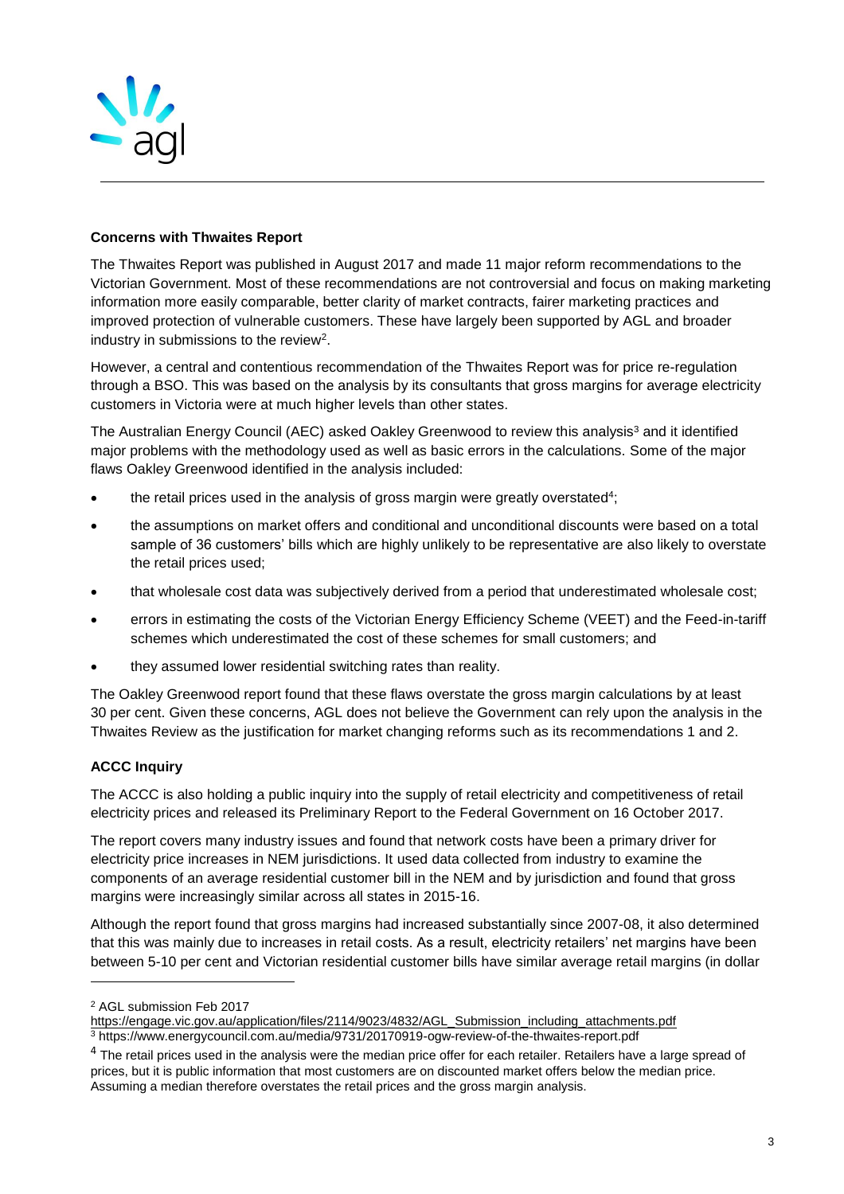

# **Concerns with Thwaites Report**

The Thwaites Report was published in August 2017 and made 11 major reform recommendations to the Victorian Government. Most of these recommendations are not controversial and focus on making marketing information more easily comparable, better clarity of market contracts, fairer marketing practices and improved protection of vulnerable customers. These have largely been supported by AGL and broader industry in submissions to the review<sup>2</sup>.

However, a central and contentious recommendation of the Thwaites Report was for price re-regulation through a BSO. This was based on the analysis by its consultants that gross margins for average electricity customers in Victoria were at much higher levels than other states.

The Australian Energy Council (AEC) asked Oakley Greenwood to review this analysis<sup>3</sup> and it identified major problems with the methodology used as well as basic errors in the calculations. Some of the major flaws Oakley Greenwood identified in the analysis included:

- the retail prices used in the analysis of gross margin were greatly overstated<sup>4</sup>;
- the assumptions on market offers and conditional and unconditional discounts were based on a total sample of 36 customers' bills which are highly unlikely to be representative are also likely to overstate the retail prices used;
- that wholesale cost data was subjectively derived from a period that underestimated wholesale cost;
- errors in estimating the costs of the Victorian Energy Efficiency Scheme (VEET) and the Feed-in-tariff schemes which underestimated the cost of these schemes for small customers; and
- they assumed lower residential switching rates than reality.

The Oakley Greenwood report found that these flaws overstate the gross margin calculations by at least 30 per cent. Given these concerns, AGL does not believe the Government can rely upon the analysis in the Thwaites Review as the justification for market changing reforms such as its recommendations 1 and 2.

# **ACCC Inquiry**

The ACCC is also holding a public inquiry into the supply of retail electricity and competitiveness of retail electricity prices and released its Preliminary Report to the Federal Government on 16 October 2017.

The report covers many industry issues and found that network costs have been a primary driver for electricity price increases in NEM jurisdictions. It used data collected from industry to examine the components of an average residential customer bill in the NEM and by jurisdiction and found that gross margins were increasingly similar across all states in 2015-16.

Although the report found that gross margins had increased substantially since 2007-08, it also determined that this was mainly due to increases in retail costs. As a result, electricity retailers' net margins have been between 5-10 per cent and Victorian residential customer bills have similar average retail margins (in dollar

l

<sup>2</sup> AGL submission Feb 2017

[https://engage.vic.gov.au/application/files/2114/9023/4832/AGL\\_Submission\\_including\\_attachments.pdf](https://engage.vic.gov.au/application/files/2114/9023/4832/AGL_Submission_including_attachments.pdf) <sup>3</sup> <https://www.energycouncil.com.au/media/9731/20170919-ogw-review-of-the-thwaites-report.pdf>

 $4$  The retail prices used in the analysis were the median price offer for each retailer. Retailers have a large spread of prices, but it is public information that most customers are on discounted market offers below the median price. Assuming a median therefore overstates the retail prices and the gross margin analysis.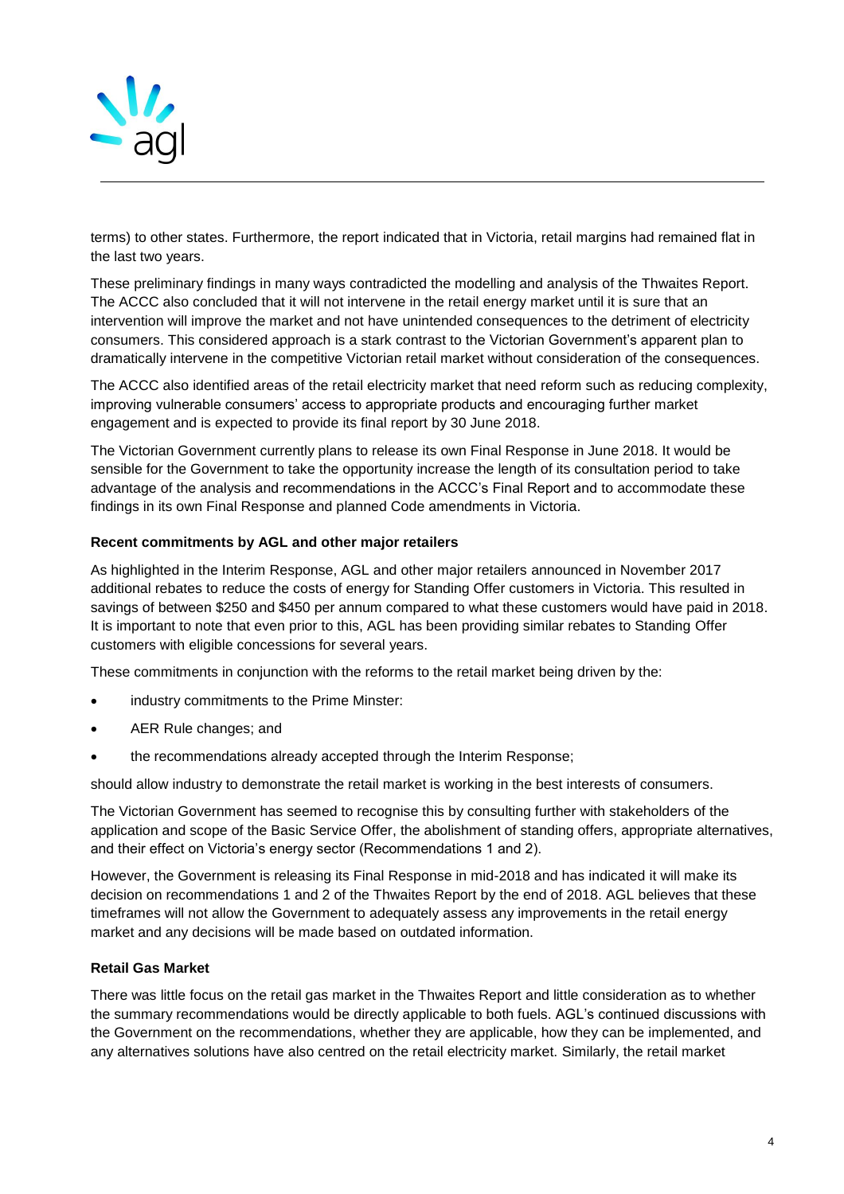

terms) to other states. Furthermore, the report indicated that in Victoria, retail margins had remained flat in the last two years.

These preliminary findings in many ways contradicted the modelling and analysis of the Thwaites Report. The ACCC also concluded that it will not intervene in the retail energy market until it is sure that an intervention will improve the market and not have unintended consequences to the detriment of electricity consumers. This considered approach is a stark contrast to the Victorian Government's apparent plan to dramatically intervene in the competitive Victorian retail market without consideration of the consequences.

The ACCC also identified areas of the retail electricity market that need reform such as reducing complexity, improving vulnerable consumers' access to appropriate products and encouraging further market engagement and is expected to provide its final report by 30 June 2018.

The Victorian Government currently plans to release its own Final Response in June 2018. It would be sensible for the Government to take the opportunity increase the length of its consultation period to take advantage of the analysis and recommendations in the ACCC's Final Report and to accommodate these findings in its own Final Response and planned Code amendments in Victoria.

## **Recent commitments by AGL and other major retailers**

As highlighted in the Interim Response, AGL and other major retailers announced in November 2017 additional rebates to reduce the costs of energy for Standing Offer customers in Victoria. This resulted in savings of between \$250 and \$450 per annum compared to what these customers would have paid in 2018. It is important to note that even prior to this, AGL has been providing similar rebates to Standing Offer customers with eligible concessions for several years.

These commitments in conjunction with the reforms to the retail market being driven by the:

- industry commitments to the Prime Minster:
- AER Rule changes; and
- the recommendations already accepted through the Interim Response;

should allow industry to demonstrate the retail market is working in the best interests of consumers.

The Victorian Government has seemed to recognise this by consulting further with stakeholders of the application and scope of the Basic Service Offer, the abolishment of standing offers, appropriate alternatives, and their effect on Victoria's energy sector (Recommendations 1 and 2).

However, the Government is releasing its Final Response in mid-2018 and has indicated it will make its decision on recommendations 1 and 2 of the Thwaites Report by the end of 2018. AGL believes that these timeframes will not allow the Government to adequately assess any improvements in the retail energy market and any decisions will be made based on outdated information.

## **Retail Gas Market**

There was little focus on the retail gas market in the Thwaites Report and little consideration as to whether the summary recommendations would be directly applicable to both fuels. AGL's continued discussions with the Government on the recommendations, whether they are applicable, how they can be implemented, and any alternatives solutions have also centred on the retail electricity market. Similarly, the retail market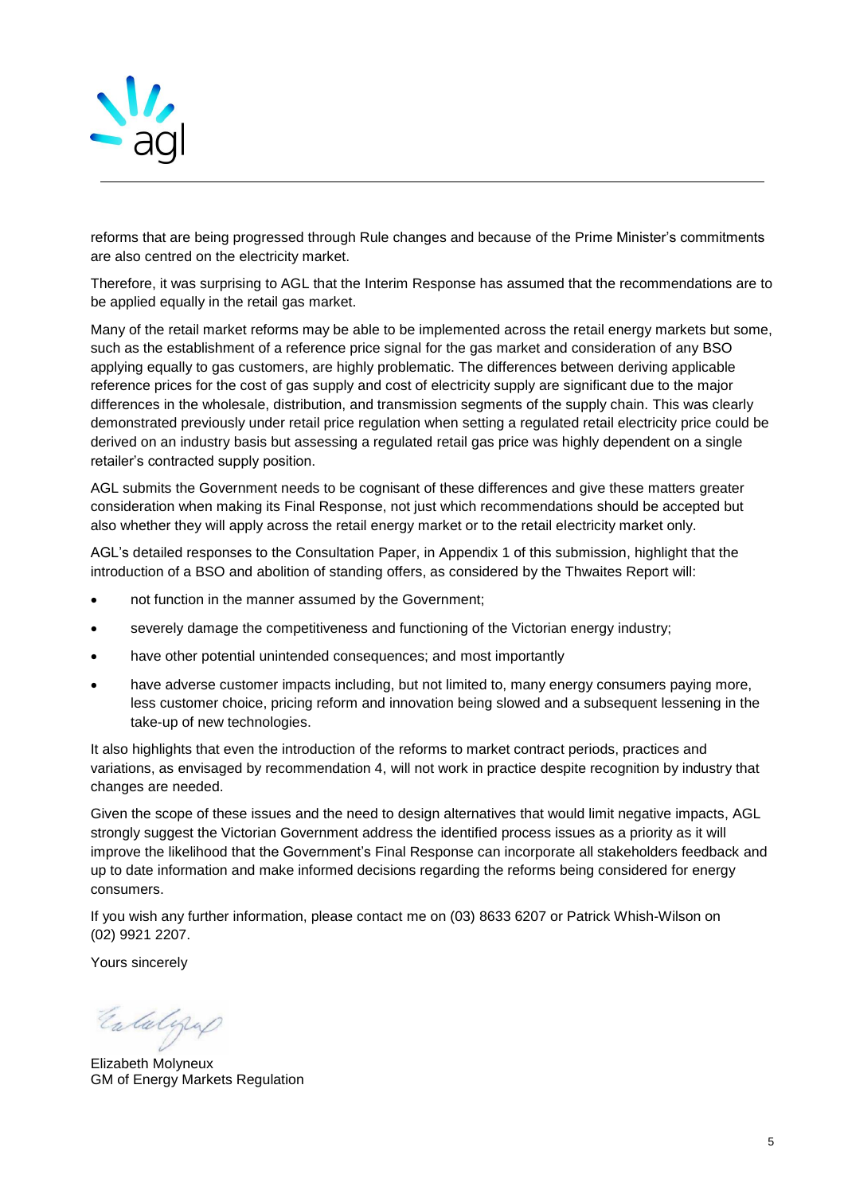

reforms that are being progressed through Rule changes and because of the Prime Minister's commitments are also centred on the electricity market.

Therefore, it was surprising to AGL that the Interim Response has assumed that the recommendations are to be applied equally in the retail gas market.

Many of the retail market reforms may be able to be implemented across the retail energy markets but some, such as the establishment of a reference price signal for the gas market and consideration of any BSO applying equally to gas customers, are highly problematic. The differences between deriving applicable reference prices for the cost of gas supply and cost of electricity supply are significant due to the major differences in the wholesale, distribution, and transmission segments of the supply chain. This was clearly demonstrated previously under retail price regulation when setting a regulated retail electricity price could be derived on an industry basis but assessing a regulated retail gas price was highly dependent on a single retailer's contracted supply position.

AGL submits the Government needs to be cognisant of these differences and give these matters greater consideration when making its Final Response, not just which recommendations should be accepted but also whether they will apply across the retail energy market or to the retail electricity market only.

AGL's detailed responses to the Consultation Paper, in Appendix 1 of this submission, highlight that the introduction of a BSO and abolition of standing offers, as considered by the Thwaites Report will:

- not function in the manner assumed by the Government;
- severely damage the competitiveness and functioning of the Victorian energy industry;
- have other potential unintended consequences; and most importantly
- have adverse customer impacts including, but not limited to, many energy consumers paying more, less customer choice, pricing reform and innovation being slowed and a subsequent lessening in the take-up of new technologies.

It also highlights that even the introduction of the reforms to market contract periods, practices and variations, as envisaged by recommendation 4, will not work in practice despite recognition by industry that changes are needed.

Given the scope of these issues and the need to design alternatives that would limit negative impacts, AGL strongly suggest the Victorian Government address the identified process issues as a priority as it will improve the likelihood that the Government's Final Response can incorporate all stakeholders feedback and up to date information and make informed decisions regarding the reforms being considered for energy consumers.

If you wish any further information, please contact me on (03) 8633 6207 or Patrick Whish-Wilson on (02) 9921 2207.

Yours sincerely

Entalgap

Elizabeth Molyneux GM of Energy Markets Regulation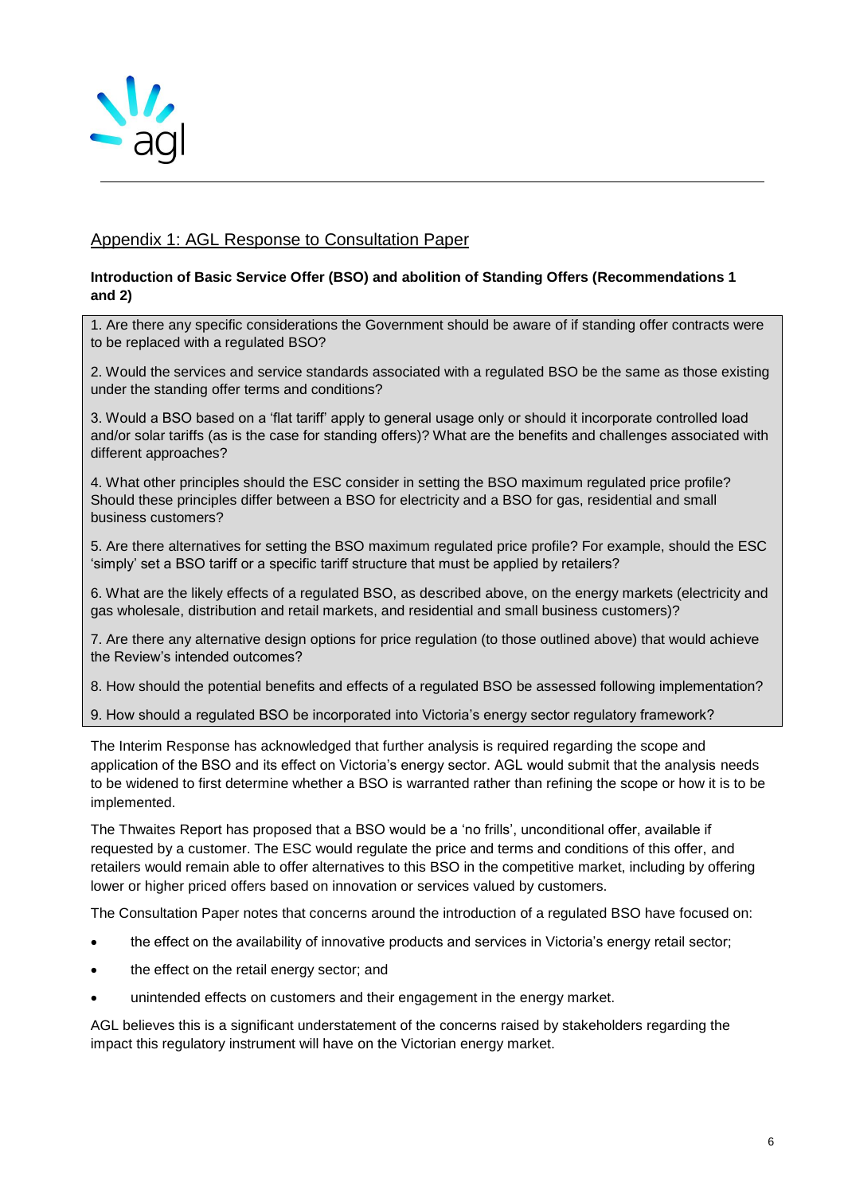

# Appendix 1: AGL Response to Consultation Paper

## **Introduction of Basic Service Offer (BSO) and abolition of Standing Offers (Recommendations 1 and 2)**

1. Are there any specific considerations the Government should be aware of if standing offer contracts were to be replaced with a regulated BSO?

2. Would the services and service standards associated with a regulated BSO be the same as those existing under the standing offer terms and conditions?

3. Would a BSO based on a 'flat tariff' apply to general usage only or should it incorporate controlled load and/or solar tariffs (as is the case for standing offers)? What are the benefits and challenges associated with different approaches?

4. What other principles should the ESC consider in setting the BSO maximum regulated price profile? Should these principles differ between a BSO for electricity and a BSO for gas, residential and small business customers?

5. Are there alternatives for setting the BSO maximum regulated price profile? For example, should the ESC 'simply' set a BSO tariff or a specific tariff structure that must be applied by retailers?

6. What are the likely effects of a regulated BSO, as described above, on the energy markets (electricity and gas wholesale, distribution and retail markets, and residential and small business customers)?

7. Are there any alternative design options for price regulation (to those outlined above) that would achieve the Review's intended outcomes?

8. How should the potential benefits and effects of a regulated BSO be assessed following implementation?

9. How should a regulated BSO be incorporated into Victoria's energy sector regulatory framework?

The Interim Response has acknowledged that further analysis is required regarding the scope and application of the BSO and its effect on Victoria's energy sector. AGL would submit that the analysis needs to be widened to first determine whether a BSO is warranted rather than refining the scope or how it is to be implemented.

The Thwaites Report has proposed that a BSO would be a 'no frills', unconditional offer, available if requested by a customer. The ESC would regulate the price and terms and conditions of this offer, and retailers would remain able to offer alternatives to this BSO in the competitive market, including by offering lower or higher priced offers based on innovation or services valued by customers.

The Consultation Paper notes that concerns around the introduction of a regulated BSO have focused on:

- the effect on the availability of innovative products and services in Victoria's energy retail sector;
- the effect on the retail energy sector; and
- unintended effects on customers and their engagement in the energy market.

AGL believes this is a significant understatement of the concerns raised by stakeholders regarding the impact this regulatory instrument will have on the Victorian energy market.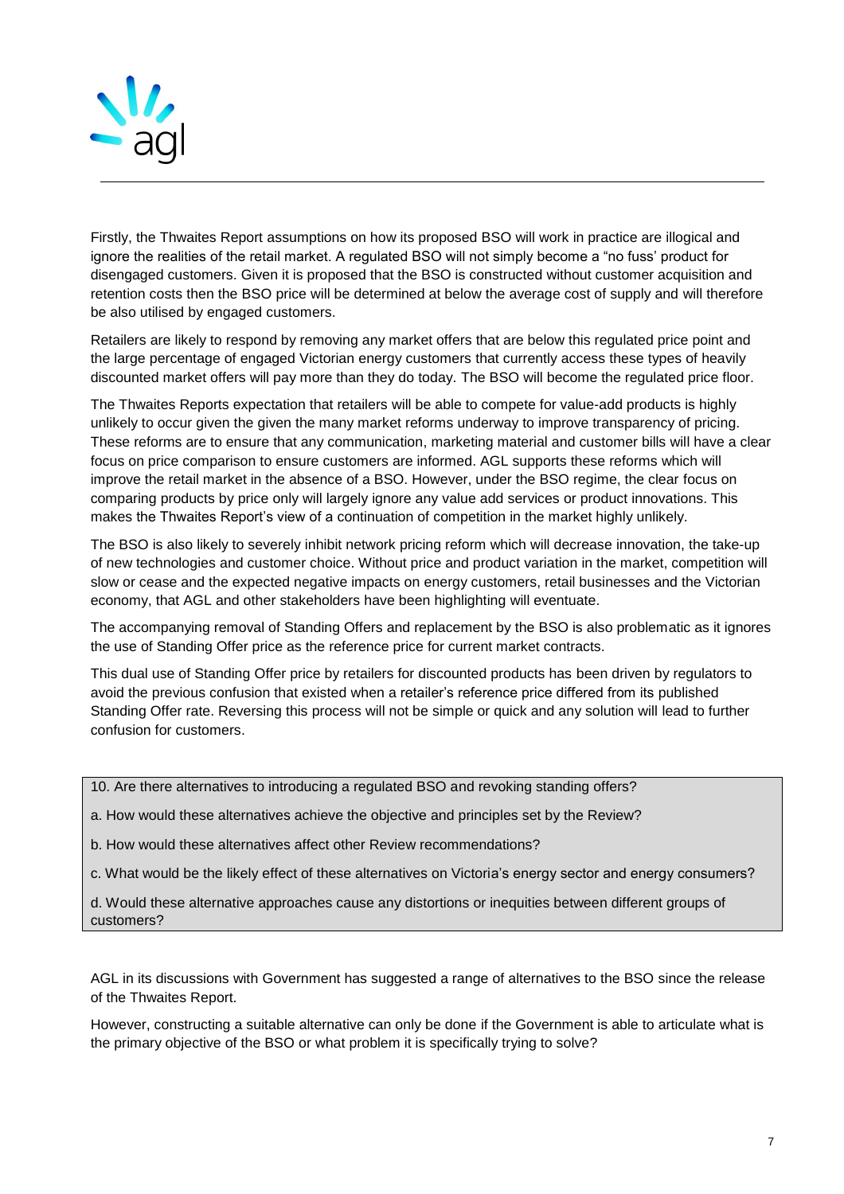

Firstly, the Thwaites Report assumptions on how its proposed BSO will work in practice are illogical and ignore the realities of the retail market. A regulated BSO will not simply become a "no fuss' product for disengaged customers. Given it is proposed that the BSO is constructed without customer acquisition and retention costs then the BSO price will be determined at below the average cost of supply and will therefore be also utilised by engaged customers.

Retailers are likely to respond by removing any market offers that are below this regulated price point and the large percentage of engaged Victorian energy customers that currently access these types of heavily discounted market offers will pay more than they do today. The BSO will become the regulated price floor.

The Thwaites Reports expectation that retailers will be able to compete for value-add products is highly unlikely to occur given the given the many market reforms underway to improve transparency of pricing. These reforms are to ensure that any communication, marketing material and customer bills will have a clear focus on price comparison to ensure customers are informed. AGL supports these reforms which will improve the retail market in the absence of a BSO. However, under the BSO regime, the clear focus on comparing products by price only will largely ignore any value add services or product innovations. This makes the Thwaites Report's view of a continuation of competition in the market highly unlikely.

The BSO is also likely to severely inhibit network pricing reform which will decrease innovation, the take-up of new technologies and customer choice. Without price and product variation in the market, competition will slow or cease and the expected negative impacts on energy customers, retail businesses and the Victorian economy, that AGL and other stakeholders have been highlighting will eventuate.

The accompanying removal of Standing Offers and replacement by the BSO is also problematic as it ignores the use of Standing Offer price as the reference price for current market contracts.

This dual use of Standing Offer price by retailers for discounted products has been driven by regulators to avoid the previous confusion that existed when a retailer's reference price differed from its published Standing Offer rate. Reversing this process will not be simple or quick and any solution will lead to further confusion for customers.

10. Are there alternatives to introducing a regulated BSO and revoking standing offers?

- a. How would these alternatives achieve the objective and principles set by the Review?
- b. How would these alternatives affect other Review recommendations?
- c. What would be the likely effect of these alternatives on Victoria's energy sector and energy consumers?

d. Would these alternative approaches cause any distortions or inequities between different groups of customers?

AGL in its discussions with Government has suggested a range of alternatives to the BSO since the release of the Thwaites Report.

However, constructing a suitable alternative can only be done if the Government is able to articulate what is the primary objective of the BSO or what problem it is specifically trying to solve?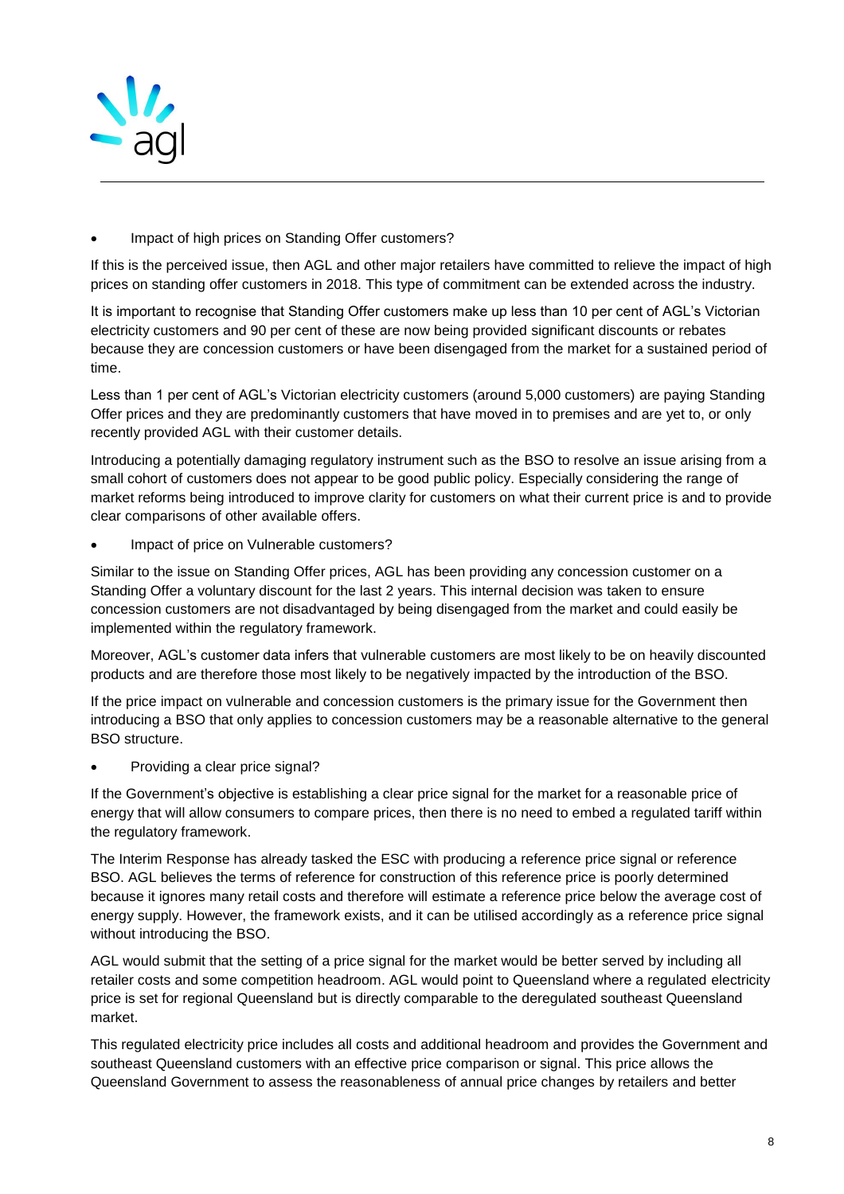

Impact of high prices on Standing Offer customers?

If this is the perceived issue, then AGL and other major retailers have committed to relieve the impact of high prices on standing offer customers in 2018. This type of commitment can be extended across the industry.

It is important to recognise that Standing Offer customers make up less than 10 per cent of AGL's Victorian electricity customers and 90 per cent of these are now being provided significant discounts or rebates because they are concession customers or have been disengaged from the market for a sustained period of time.

Less than 1 per cent of AGL's Victorian electricity customers (around 5,000 customers) are paying Standing Offer prices and they are predominantly customers that have moved in to premises and are yet to, or only recently provided AGL with their customer details.

Introducing a potentially damaging regulatory instrument such as the BSO to resolve an issue arising from a small cohort of customers does not appear to be good public policy. Especially considering the range of market reforms being introduced to improve clarity for customers on what their current price is and to provide clear comparisons of other available offers.

Impact of price on Vulnerable customers?

Similar to the issue on Standing Offer prices, AGL has been providing any concession customer on a Standing Offer a voluntary discount for the last 2 years. This internal decision was taken to ensure concession customers are not disadvantaged by being disengaged from the market and could easily be implemented within the regulatory framework.

Moreover, AGL's customer data infers that vulnerable customers are most likely to be on heavily discounted products and are therefore those most likely to be negatively impacted by the introduction of the BSO.

If the price impact on vulnerable and concession customers is the primary issue for the Government then introducing a BSO that only applies to concession customers may be a reasonable alternative to the general BSO structure.

• Providing a clear price signal?

If the Government's objective is establishing a clear price signal for the market for a reasonable price of energy that will allow consumers to compare prices, then there is no need to embed a regulated tariff within the regulatory framework.

The Interim Response has already tasked the ESC with producing a reference price signal or reference BSO. AGL believes the terms of reference for construction of this reference price is poorly determined because it ignores many retail costs and therefore will estimate a reference price below the average cost of energy supply. However, the framework exists, and it can be utilised accordingly as a reference price signal without introducing the BSO.

AGL would submit that the setting of a price signal for the market would be better served by including all retailer costs and some competition headroom. AGL would point to Queensland where a regulated electricity price is set for regional Queensland but is directly comparable to the deregulated southeast Queensland market.

This regulated electricity price includes all costs and additional headroom and provides the Government and southeast Queensland customers with an effective price comparison or signal. This price allows the Queensland Government to assess the reasonableness of annual price changes by retailers and better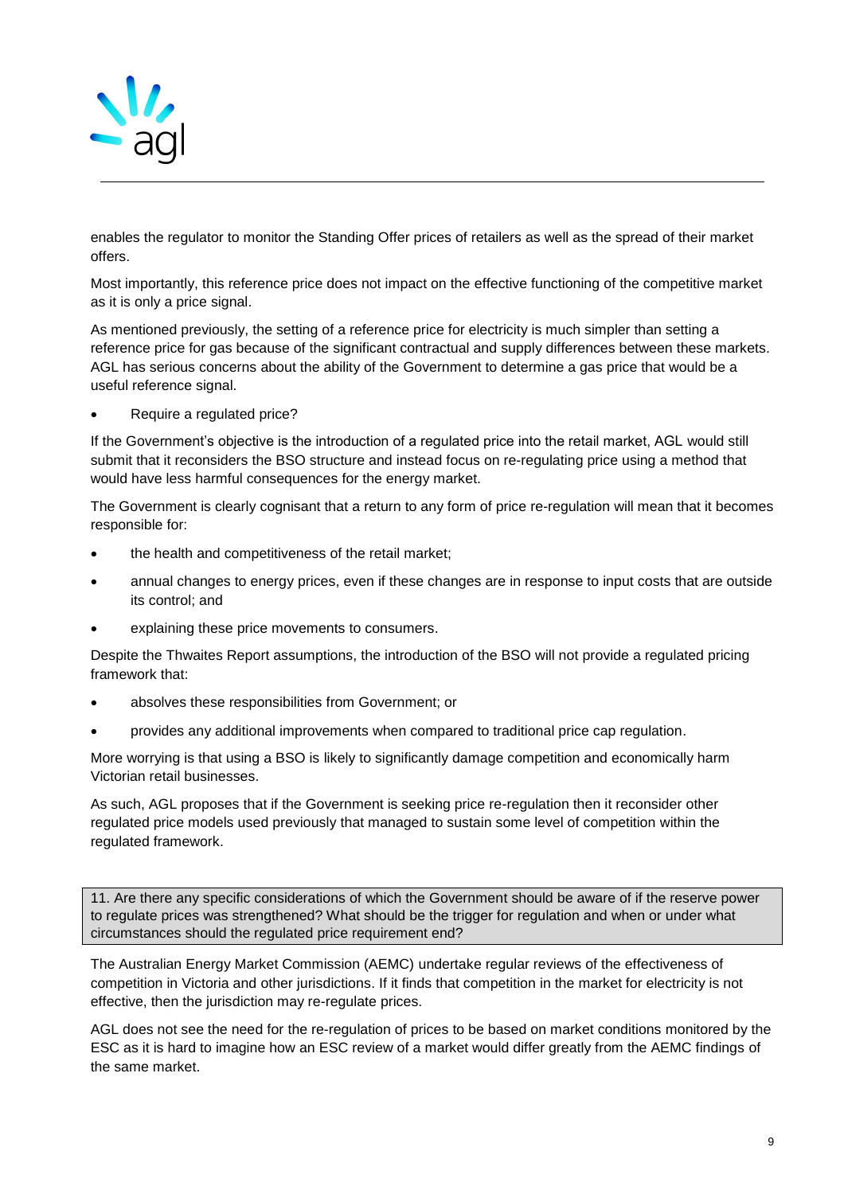

enables the regulator to monitor the Standing Offer prices of retailers as well as the spread of their market offers.

Most importantly, this reference price does not impact on the effective functioning of the competitive market as it is only a price signal.

As mentioned previously, the setting of a reference price for electricity is much simpler than setting a reference price for gas because of the significant contractual and supply differences between these markets. AGL has serious concerns about the ability of the Government to determine a gas price that would be a useful reference signal.

• Require a regulated price?

If the Government's objective is the introduction of a regulated price into the retail market, AGL would still submit that it reconsiders the BSO structure and instead focus on re-regulating price using a method that would have less harmful consequences for the energy market.

The Government is clearly cognisant that a return to any form of price re-regulation will mean that it becomes responsible for:

- the health and competitiveness of the retail market;
- annual changes to energy prices, even if these changes are in response to input costs that are outside its control; and
- explaining these price movements to consumers.

Despite the Thwaites Report assumptions, the introduction of the BSO will not provide a regulated pricing framework that:

- absolves these responsibilities from Government; or
- provides any additional improvements when compared to traditional price cap regulation.

More worrying is that using a BSO is likely to significantly damage competition and economically harm Victorian retail businesses.

As such, AGL proposes that if the Government is seeking price re-regulation then it reconsider other regulated price models used previously that managed to sustain some level of competition within the regulated framework.

11. Are there any specific considerations of which the Government should be aware of if the reserve power to regulate prices was strengthened? What should be the trigger for regulation and when or under what circumstances should the regulated price requirement end?

The Australian Energy Market Commission (AEMC) undertake regular reviews of the effectiveness of competition in Victoria and other jurisdictions. If it finds that competition in the market for electricity is not effective, then the jurisdiction may re-regulate prices.

AGL does not see the need for the re-regulation of prices to be based on market conditions monitored by the ESC as it is hard to imagine how an ESC review of a market would differ greatly from the AEMC findings of the same market.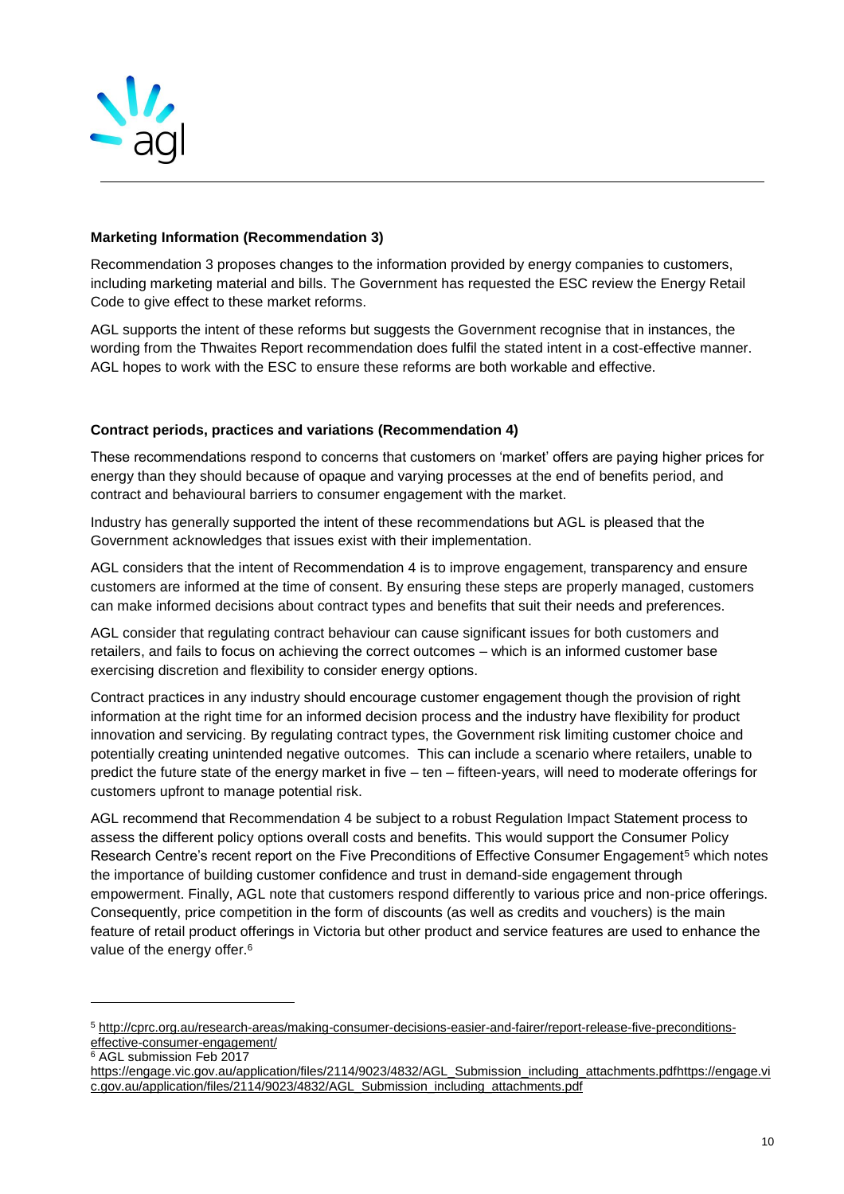

# **Marketing Information (Recommendation 3)**

Recommendation 3 proposes changes to the information provided by energy companies to customers, including marketing material and bills. The Government has requested the ESC review the Energy Retail Code to give effect to these market reforms.

AGL supports the intent of these reforms but suggests the Government recognise that in instances, the wording from the Thwaites Report recommendation does fulfil the stated intent in a cost-effective manner. AGL hopes to work with the ESC to ensure these reforms are both workable and effective.

# **Contract periods, practices and variations (Recommendation 4)**

These recommendations respond to concerns that customers on 'market' offers are paying higher prices for energy than they should because of opaque and varying processes at the end of benefits period, and contract and behavioural barriers to consumer engagement with the market.

Industry has generally supported the intent of these recommendations but AGL is pleased that the Government acknowledges that issues exist with their implementation.

AGL considers that the intent of Recommendation 4 is to improve engagement, transparency and ensure customers are informed at the time of consent. By ensuring these steps are properly managed, customers can make informed decisions about contract types and benefits that suit their needs and preferences.

AGL consider that regulating contract behaviour can cause significant issues for both customers and retailers, and fails to focus on achieving the correct outcomes – which is an informed customer base exercising discretion and flexibility to consider energy options.

Contract practices in any industry should encourage customer engagement though the provision of right information at the right time for an informed decision process and the industry have flexibility for product innovation and servicing. By regulating contract types, the Government risk limiting customer choice and potentially creating unintended negative outcomes. This can include a scenario where retailers, unable to predict the future state of the energy market in five – ten – fifteen-years, will need to moderate offerings for customers upfront to manage potential risk.

AGL recommend that Recommendation 4 be subject to a robust Regulation Impact Statement process to assess the different policy options overall costs and benefits. This would support the Consumer Policy Research Centre's recent report on the Five Preconditions of Effective Consumer Engagement<sup>5</sup> which notes the importance of building customer confidence and trust in demand-side engagement through empowerment. Finally, AGL note that customers respond differently to various price and non-price offerings. Consequently, price competition in the form of discounts (as well as credits and vouchers) is the main feature of retail product offerings in Victoria but other product and service features are used to enhance the value of the energy offer.<sup>6</sup>

l

<sup>5</sup> [http://cprc.org.au/research-areas/making-consumer-decisions-easier-and-fairer/report-release-five-preconditions](http://cprc.org.au/research-areas/making-consumer-decisions-easier-and-fairer/report-release-five-preconditions-effective-consumer-engagement/)[effective-consumer-engagement/](http://cprc.org.au/research-areas/making-consumer-decisions-easier-and-fairer/report-release-five-preconditions-effective-consumer-engagement/)

<sup>6</sup> AGL submission Feb 2017

[https://engage.vic.gov.au/application/files/2114/9023/4832/AGL\\_Submission\\_including\\_attachments.pdfhttps://engage.vi](https://engage.vic.gov.au/application/files/2114/9023/4832/AGL_Submission_including_attachments.pdf) [c.gov.au/application/files/2114/9023/4832/AGL\\_Submission\\_including\\_attachments.pdf](https://engage.vic.gov.au/application/files/2114/9023/4832/AGL_Submission_including_attachments.pdf)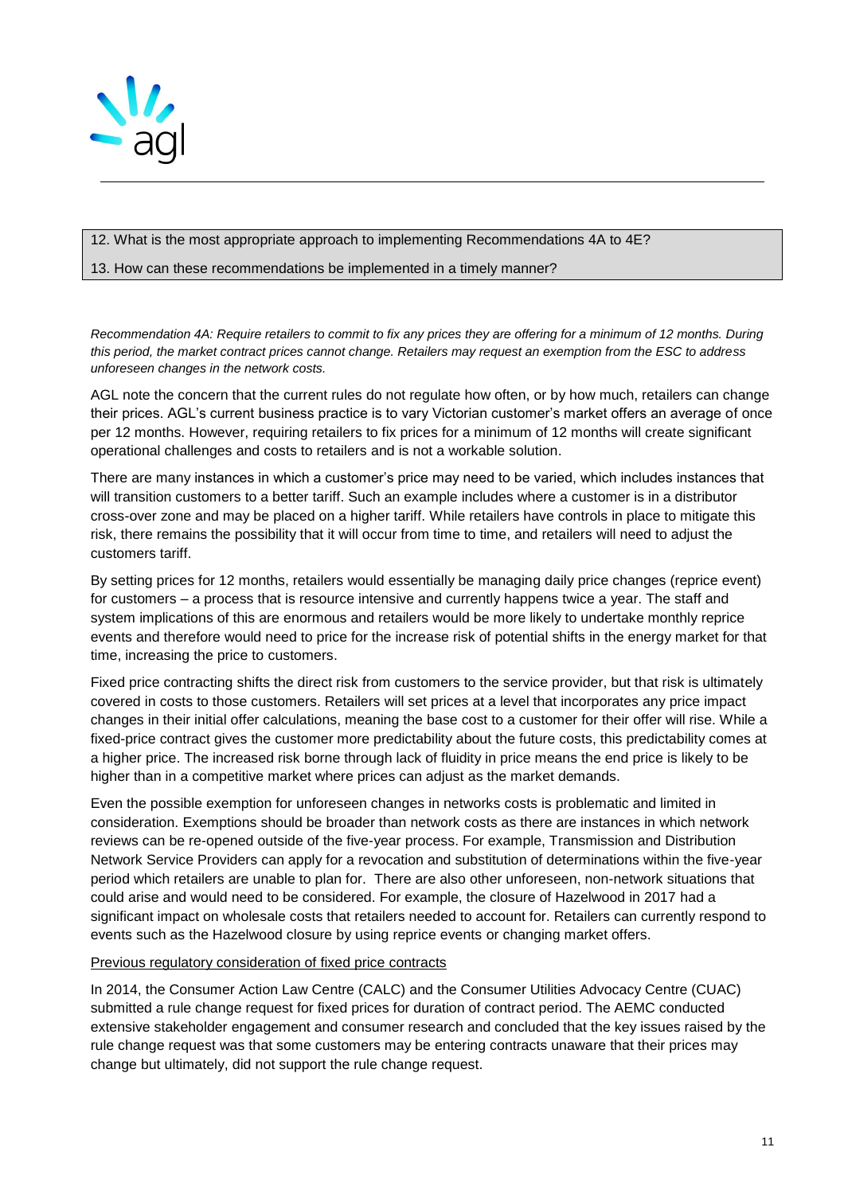

## 12. What is the most appropriate approach to implementing Recommendations 4A to 4E?

#### 13. How can these recommendations be implemented in a timely manner?

*Recommendation 4A: Require retailers to commit to fix any prices they are offering for a minimum of 12 months. During this period, the market contract prices cannot change. Retailers may request an exemption from the ESC to address unforeseen changes in the network costs.*

AGL note the concern that the current rules do not regulate how often, or by how much, retailers can change their prices. AGL's current business practice is to vary Victorian customer's market offers an average of once per 12 months. However, requiring retailers to fix prices for a minimum of 12 months will create significant operational challenges and costs to retailers and is not a workable solution.

There are many instances in which a customer's price may need to be varied, which includes instances that will transition customers to a better tariff. Such an example includes where a customer is in a distributor cross-over zone and may be placed on a higher tariff. While retailers have controls in place to mitigate this risk, there remains the possibility that it will occur from time to time, and retailers will need to adjust the customers tariff.

By setting prices for 12 months, retailers would essentially be managing daily price changes (reprice event) for customers – a process that is resource intensive and currently happens twice a year. The staff and system implications of this are enormous and retailers would be more likely to undertake monthly reprice events and therefore would need to price for the increase risk of potential shifts in the energy market for that time, increasing the price to customers.

Fixed price contracting shifts the direct risk from customers to the service provider, but that risk is ultimately covered in costs to those customers. Retailers will set prices at a level that incorporates any price impact changes in their initial offer calculations, meaning the base cost to a customer for their offer will rise. While a fixed-price contract gives the customer more predictability about the future costs, this predictability comes at a higher price. The increased risk borne through lack of fluidity in price means the end price is likely to be higher than in a competitive market where prices can adjust as the market demands.

Even the possible exemption for unforeseen changes in networks costs is problematic and limited in consideration. Exemptions should be broader than network costs as there are instances in which network reviews can be re-opened outside of the five-year process. For example, Transmission and Distribution Network Service Providers can apply for a revocation and substitution of determinations within the five-year period which retailers are unable to plan for. There are also other unforeseen, non-network situations that could arise and would need to be considered. For example, the closure of Hazelwood in 2017 had a significant impact on wholesale costs that retailers needed to account for. Retailers can currently respond to events such as the Hazelwood closure by using reprice events or changing market offers.

## Previous regulatory consideration of fixed price contracts

In 2014, the Consumer Action Law Centre (CALC) and the Consumer Utilities Advocacy Centre (CUAC) submitted a rule change request for fixed prices for duration of contract period. The AEMC conducted extensive stakeholder engagement and consumer research and concluded that the key issues raised by the rule change request was that some customers may be entering contracts unaware that their prices may change but ultimately, did not support the rule change request.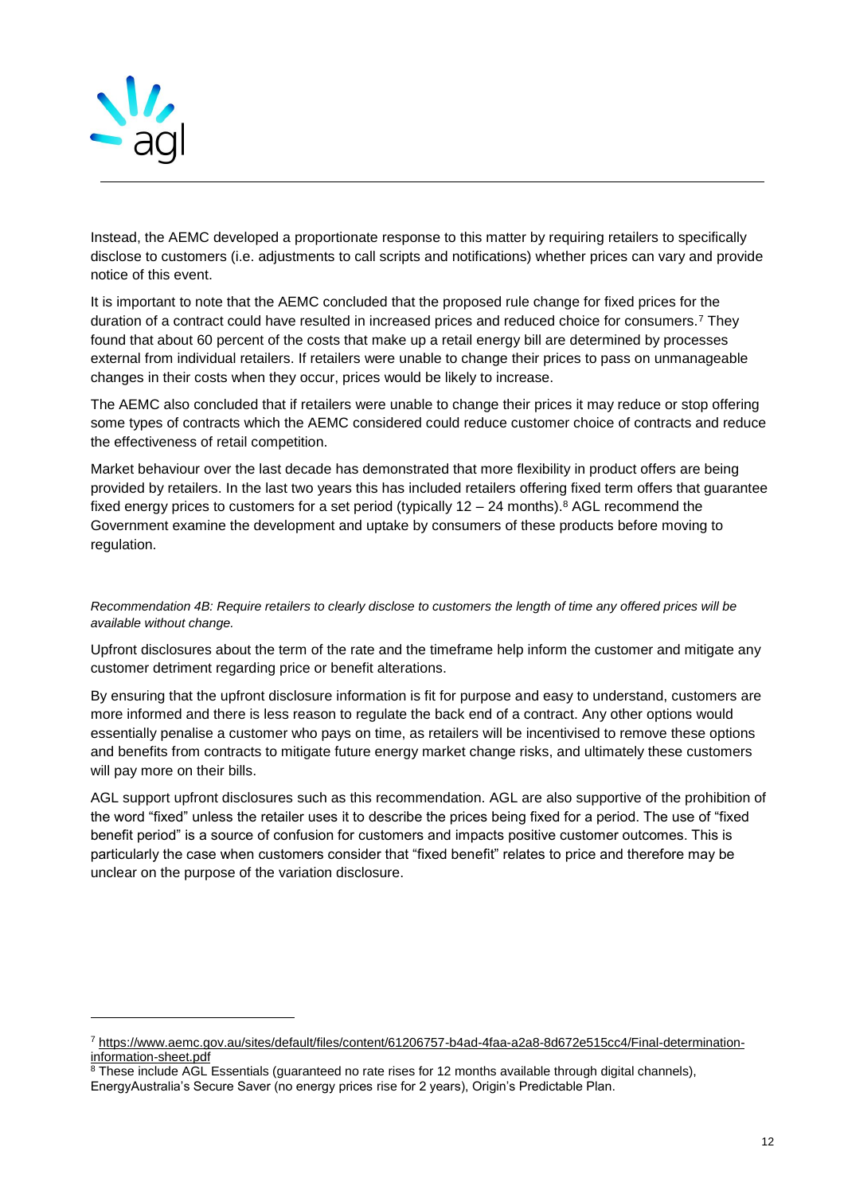

l

Instead, the AEMC developed a proportionate response to this matter by requiring retailers to specifically disclose to customers (i.e. adjustments to call scripts and notifications) whether prices can vary and provide notice of this event.

It is important to note that the AEMC concluded that the proposed rule change for fixed prices for the duration of a contract could have resulted in increased prices and reduced choice for consumers.<sup>7</sup> They found that about 60 percent of the costs that make up a retail energy bill are determined by processes external from individual retailers. If retailers were unable to change their prices to pass on unmanageable changes in their costs when they occur, prices would be likely to increase.

The AEMC also concluded that if retailers were unable to change their prices it may reduce or stop offering some types of contracts which the AEMC considered could reduce customer choice of contracts and reduce the effectiveness of retail competition.

Market behaviour over the last decade has demonstrated that more flexibility in product offers are being provided by retailers. In the last two years this has included retailers offering fixed term offers that guarantee fixed energy prices to customers for a set period (typically  $12 - 24$  months).<sup>8</sup> AGL recommend the Government examine the development and uptake by consumers of these products before moving to regulation.

#### *Recommendation 4B: Require retailers to clearly disclose to customers the length of time any offered prices will be available without change.*

Upfront disclosures about the term of the rate and the timeframe help inform the customer and mitigate any customer detriment regarding price or benefit alterations.

By ensuring that the upfront disclosure information is fit for purpose and easy to understand, customers are more informed and there is less reason to regulate the back end of a contract. Any other options would essentially penalise a customer who pays on time, as retailers will be incentivised to remove these options and benefits from contracts to mitigate future energy market change risks, and ultimately these customers will pay more on their bills.

AGL support upfront disclosures such as this recommendation. AGL are also supportive of the prohibition of the word "fixed" unless the retailer uses it to describe the prices being fixed for a period. The use of "fixed benefit period" is a source of confusion for customers and impacts positive customer outcomes. This is particularly the case when customers consider that "fixed benefit" relates to price and therefore may be unclear on the purpose of the variation disclosure.

<sup>7</sup> [https://www.aemc.gov.au/sites/default/files/content/61206757-b4ad-4faa-a2a8-8d672e515cc4/Final-determination](https://www.aemc.gov.au/sites/default/files/content/61206757-b4ad-4faa-a2a8-8d672e515cc4/Final-determination-information-sheet.pdf)[information-sheet.pdf](https://www.aemc.gov.au/sites/default/files/content/61206757-b4ad-4faa-a2a8-8d672e515cc4/Final-determination-information-sheet.pdf)

 $8$  These include AGL Essentials (guaranteed no rate rises for 12 months available through digital channels), EnergyAustralia's Secure Saver (no energy prices rise for 2 years), Origin's Predictable Plan.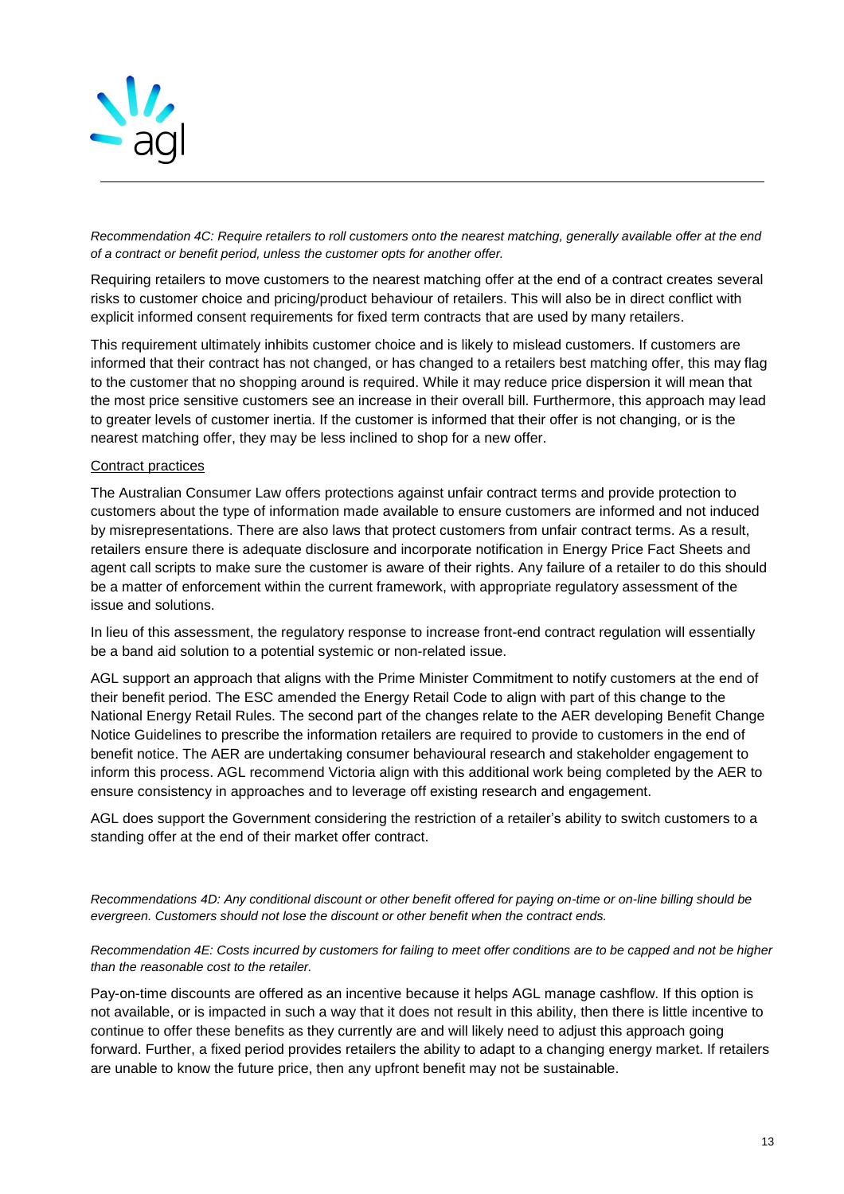

*Recommendation 4C: Require retailers to roll customers onto the nearest matching, generally available offer at the end of a contract or benefit period, unless the customer opts for another offer.*

Requiring retailers to move customers to the nearest matching offer at the end of a contract creates several risks to customer choice and pricing/product behaviour of retailers. This will also be in direct conflict with explicit informed consent requirements for fixed term contracts that are used by many retailers.

This requirement ultimately inhibits customer choice and is likely to mislead customers. If customers are informed that their contract has not changed, or has changed to a retailers best matching offer, this may flag to the customer that no shopping around is required. While it may reduce price dispersion it will mean that the most price sensitive customers see an increase in their overall bill. Furthermore, this approach may lead to greater levels of customer inertia. If the customer is informed that their offer is not changing, or is the nearest matching offer, they may be less inclined to shop for a new offer.

## Contract practices

The Australian Consumer Law offers protections against unfair contract terms and provide protection to customers about the type of information made available to ensure customers are informed and not induced by misrepresentations. There are also laws that protect customers from unfair contract terms. As a result, retailers ensure there is adequate disclosure and incorporate notification in Energy Price Fact Sheets and agent call scripts to make sure the customer is aware of their rights. Any failure of a retailer to do this should be a matter of enforcement within the current framework, with appropriate regulatory assessment of the issue and solutions.

In lieu of this assessment, the regulatory response to increase front-end contract regulation will essentially be a band aid solution to a potential systemic or non-related issue.

AGL support an approach that aligns with the Prime Minister Commitment to notify customers at the end of their benefit period. The ESC amended the Energy Retail Code to align with part of this change to the National Energy Retail Rules. The second part of the changes relate to the AER developing Benefit Change Notice Guidelines to prescribe the information retailers are required to provide to customers in the end of benefit notice. The AER are undertaking consumer behavioural research and stakeholder engagement to inform this process. AGL recommend Victoria align with this additional work being completed by the AER to ensure consistency in approaches and to leverage off existing research and engagement.

AGL does support the Government considering the restriction of a retailer's ability to switch customers to a standing offer at the end of their market offer contract.

*Recommendations 4D: Any conditional discount or other benefit offered for paying on-time or on-line billing should be evergreen. Customers should not lose the discount or other benefit when the contract ends.*

*Recommendation 4E: Costs incurred by customers for failing to meet offer conditions are to be capped and not be higher than the reasonable cost to the retailer.*

Pay-on-time discounts are offered as an incentive because it helps AGL manage cashflow. If this option is not available, or is impacted in such a way that it does not result in this ability, then there is little incentive to continue to offer these benefits as they currently are and will likely need to adjust this approach going forward. Further, a fixed period provides retailers the ability to adapt to a changing energy market. If retailers are unable to know the future price, then any upfront benefit may not be sustainable.